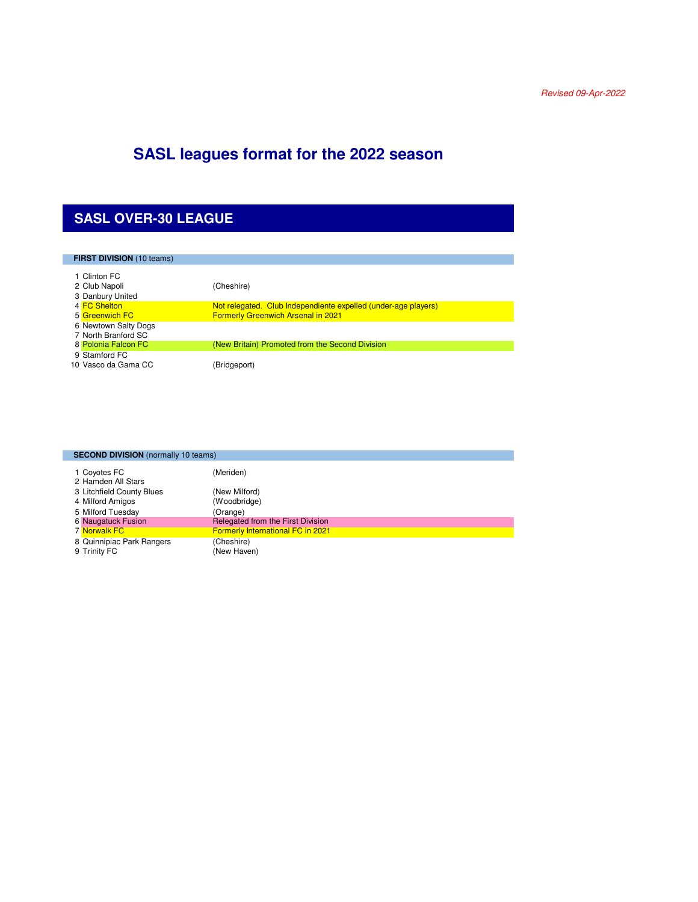## **SASL leagues format for the 2022 season**

#### **SASL OVER-30 LEAGUE**

| <b>FIRST DIVISION</b> (10 teams)                  |                                                                                                             |
|---------------------------------------------------|-------------------------------------------------------------------------------------------------------------|
| 1 Clinton FC<br>2 Club Napoli<br>3 Danbury United | (Cheshire)                                                                                                  |
| 4 FC Shelton<br>5 Greenwich FC                    | Not relegated. Club Independiente expelled (under-age players)<br><b>Formerly Greenwich Arsenal in 2021</b> |
| 6 Newtown Salty Dogs<br>7 North Branford SC       |                                                                                                             |
| 8 Polonia Falcon FC                               | (New Britain) Promoted from the Second Division                                                             |
| 9 Stamford FC<br>10 Vasco da Gama CC              | (Bridgeport)                                                                                                |

| <b>SECOND DIVISION</b> (normally 10 teams) |                                          |
|--------------------------------------------|------------------------------------------|
| 1 Covotes FC<br>2 Hamden All Stars         | (Meriden)                                |
| 3 Litchfield County Blues                  | (New Milford)                            |
| 4 Milford Amigos                           | (Woodbridge)                             |
| 5 Milford Tuesday                          | (Orange)                                 |
| <b>6 Naugatuck Fusion</b>                  | Relegated from the First Division        |
| 7 Norwalk FC                               | <b>Formerly International FC in 2021</b> |
| 8 Quinnipiac Park Rangers<br>9 Trinity FC  | (Cheshire)<br>(New Haven)                |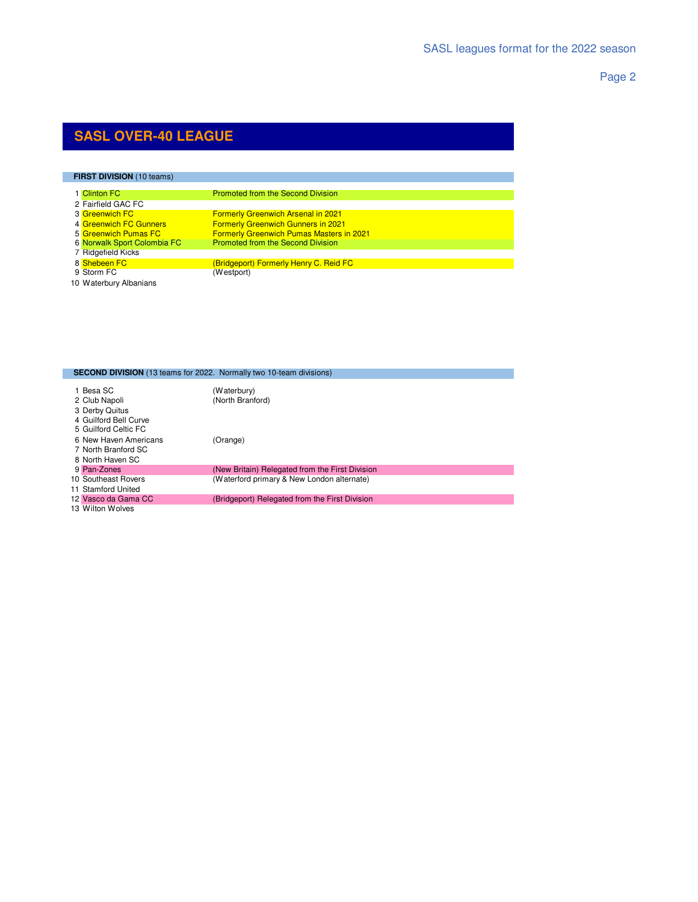Page 2

## **SASL OVER-40 LEAGUE**

| <b>FIRST DIVISION (10 teams)</b> |                                                 |  |
|----------------------------------|-------------------------------------------------|--|
| 1 Clinton FC                     | <b>Promoted from the Second Division</b>        |  |
| 2 Fairfield GAC FC               |                                                 |  |
| 3 Greenwich FC                   | <b>Formerly Greenwich Arsenal in 2021</b>       |  |
| 4 Greenwich FC Gunners           | <b>Formerly Greenwich Gunners in 2021</b>       |  |
| 5 Greenwich Pumas FC             | <b>Formerly Greenwich Pumas Masters in 2021</b> |  |
| 6 Norwalk Sport Colombia FC      | <b>Promoted from the Second Division</b>        |  |
| 7 Ridgefield Kicks               |                                                 |  |
| 8 Shebeen FC                     | (Bridgeport) Formerly Henry C. Reid FC          |  |
| 9 Storm FC                       | (Westport)                                      |  |

Waterbury Albanians

|                                                                                               | <b>SECOND DIVISION</b> (13 teams for 2022. Normally two 10-team divisions) |
|-----------------------------------------------------------------------------------------------|----------------------------------------------------------------------------|
| 1 Besa SC<br>2 Club Napoli<br>3 Derby Quitus<br>4 Guilford Bell Curve<br>5 Guilford Celtic FC | (Waterbury)<br>(North Branford)                                            |
| 6 New Haven Americans<br>7 North Branford SC<br>8 North Haven SC                              | (Orange)                                                                   |
| 9 Pan-Zones                                                                                   | (New Britain) Relegated from the First Division                            |
| 10 Southeast Rovers<br>11 Stamford United                                                     | (Waterford primary & New London alternate)                                 |
| 12 Vasco da Gama CC                                                                           | (Bridgeport) Relegated from the First Division                             |
| 13 Wilton Wolves                                                                              |                                                                            |